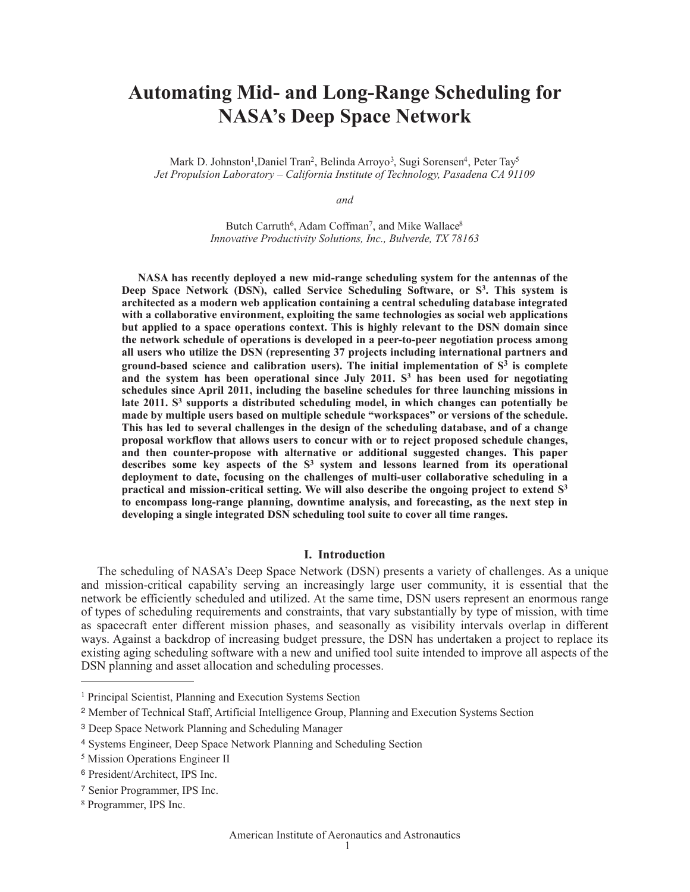# **Automating Mid- and Long-Range Scheduling for NASA's Deep Space Network**

Mark D. Johnston<sup>1</sup>, Daniel Tran<sup>2</sup>, Belinda Arroyo<sup>3</sup>, Sugi Sorensen<sup>4</sup>, Peter Tay<sup>5</sup> *Jet Propulsion Laboratory – California Institute of Technology, Pasadena CA 91109* 

*and*

Butch Carruth<sup>6</sup>, Adam Coffman<sup>7</sup>, and Mike Wallace<sup>8</sup> *Innovative Productivity Solutions, Inc., Bulverde, TX 78163*

**NASA has recently deployed a new mid-range scheduling system for the antennas of the Deep Space Network (DSN), called Service Scheduling Software, or S3. This system is architected as a modern web application containing a central scheduling database integrated with a collaborative environment, exploiting the same technologies as social web applications but applied to a space operations context. This is highly relevant to the DSN domain since the network schedule of operations is developed in a peer-to-peer negotiation process among all users who utilize the DSN (representing 37 projects including international partners and**  ground-based science and calibration users). The initial implementation of  $S<sup>3</sup>$  is complete and the system has been operational since July 2011. S<sup>3</sup> has been used for negotiating **schedules since April 2011, including the baseline schedules for three launching missions in**  late 2011. S<sup>3</sup> supports a distributed scheduling model, in which changes can potentially be **made by multiple users based on multiple schedule "workspaces" or versions of the schedule. This has led to several challenges in the design of the scheduling database, and of a change proposal workflow that allows users to concur with or to reject proposed schedule changes, and then counter-propose with alternative or additional suggested changes. This paper**  describes some key aspects of the S<sup>3</sup> system and lessons learned from its operational **deployment to date, focusing on the challenges of multi-user collaborative scheduling in a practical and mission-critical setting. We will also describe the ongoing project to extend S3 to encompass long-range planning, downtime analysis, and forecasting, as the next step in developing a single integrated DSN scheduling tool suite to cover all time ranges.** 

# **I. Introduction**

The scheduling of NASA's Deep Space Network (DSN) presents a variety of challenges. As a unique and mission-critical capability serving an increasingly large user community, it is essential that the network be efficiently scheduled and utilized. At the same time, DSN users represent an enormous range of types of scheduling requirements and constraints, that vary substantially by type of mission, with time as spacecraft enter different mission phases, and seasonally as visibility intervals overlap in different ways. Against a backdrop of increasing budget pressure, the DSN has undertaken a project to replace its existing aging scheduling software with a new and unified tool suite intended to improve all aspects of the DSN planning and asset allocation and scheduling processes.

<sup>1</sup> Principal Scientist, Planning and Execution Systems Section

<sup>2</sup> Member of Technical Staff, Artificial Intelligence Group, Planning and Execution Systems Section

<sup>3</sup> Deep Space Network Planning and Scheduling Manager

<sup>4</sup> Systems Engineer, Deep Space Network Planning and Scheduling Section

<sup>5</sup> Mission Operations Engineer II

<sup>6</sup> President/Architect, IPS Inc.

<sup>7</sup> Senior Programmer, IPS Inc.

<sup>8</sup> Programmer, IPS Inc.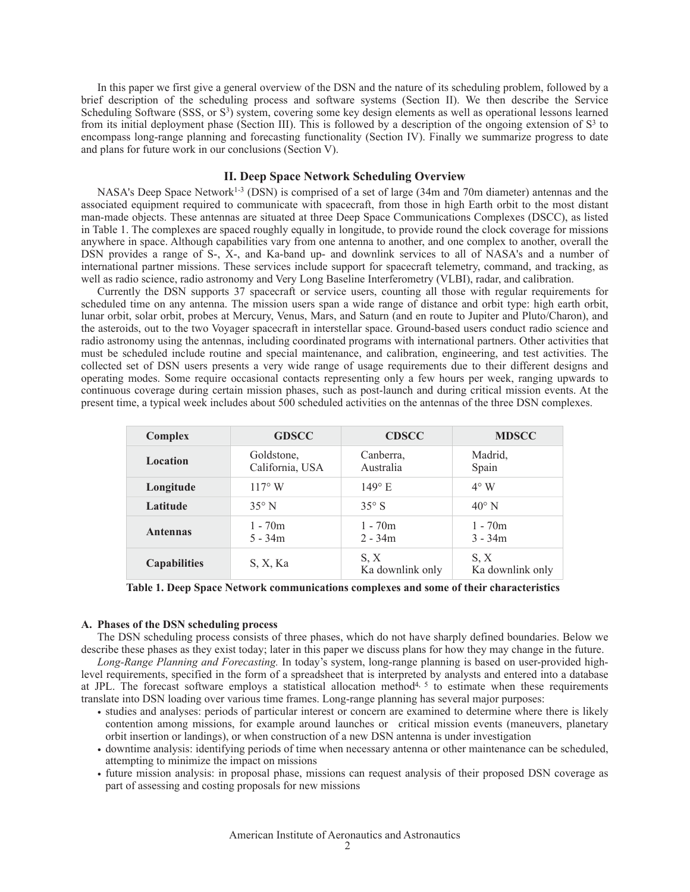In this paper we first give a general overview of the DSN and the nature of its scheduling problem, followed by a brief description of the scheduling process and software systems (Section II). We then describe the Service Scheduling Software (SSS, or S<sup>3</sup>) system, covering some key design elements as well as operational lessons learned from its initial deployment phase (Section III). This is followed by a description of the ongoing extension of  $S<sup>3</sup>$  to encompass long-range planning and forecasting functionality (Section IV). Finally we summarize progress to date and plans for future work in our conclusions (Section V).

# **II. Deep Space Network Scheduling Overview**

NASA's Deep Space Network<sup>1-3</sup> (DSN) is comprised of a set of large (34m and 70m diameter) antennas and the associated equipment required to communicate with spacecraft, from those in high Earth orbit to the most distant man-made objects. These antennas are situated at three Deep Space Communications Complexes (DSCC), as listed in Table 1. The complexes are spaced roughly equally in longitude, to provide round the clock coverage for missions anywhere in space. Although capabilities vary from one antenna to another, and one complex to another, overall the DSN provides a range of S-, X-, and Ka-band up- and downlink services to all of NASA's and a number of international partner missions. These services include support for spacecraft telemetry, command, and tracking, as well as radio science, radio astronomy and Very Long Baseline Interferometry (VLBI), radar, and calibration.

Currently the DSN supports 37 spacecraft or service users, counting all those with regular requirements for scheduled time on any antenna. The mission users span a wide range of distance and orbit type: high earth orbit, lunar orbit, solar orbit, probes at Mercury, Venus, Mars, and Saturn (and en route to Jupiter and Pluto/Charon), and the asteroids, out to the two Voyager spacecraft in interstellar space. Ground-based users conduct radio science and radio astronomy using the antennas, including coordinated programs with international partners. Other activities that must be scheduled include routine and special maintenance, and calibration, engineering, and test activities. The collected set of DSN users presents a very wide range of usage requirements due to their different designs and operating modes. Some require occasional contacts representing only a few hours per week, ranging upwards to continuous coverage during certain mission phases, such as post-launch and during critical mission events. At the present time, a typical week includes about 500 scheduled activities on the antennas of the three DSN complexes.

| <b>Complex</b>      | <b>GDSCC</b>                  | <b>CDSCC</b>             | <b>MDSCC</b>            |
|---------------------|-------------------------------|--------------------------|-------------------------|
| Location            | Goldstone,<br>California, USA | Canberra,<br>Australia   | Madrid.<br>Spain        |
| Longitude           | $117^\circ$ W                 | $149^\circ$ E            | $4^{\circ}$ W           |
| Latitude            | $35^\circ$ N                  | $35^\circ$ S             | $40^{\circ}$ N          |
| <b>Antennas</b>     | $1 - 70m$<br>$5 - 34m$        | $1 - 70m$<br>$2 - 34m$   | $1 - 70m$<br>$3 - 34m$  |
| <b>Capabilities</b> | S, X, Ka                      | S, X<br>Ka downlink only | S.X<br>Ka downlink only |

**Table 1. Deep Space Network communications complexes and some of their characteristics**

## **A. Phases of the DSN scheduling process**

The DSN scheduling process consists of three phases, which do not have sharply defined boundaries. Below we describe these phases as they exist today; later in this paper we discuss plans for how they may change in the future.

*Long-Range Planning and Forecasting.* In today's system, long-range planning is based on user-provided highlevel requirements, specified in the form of a spreadsheet that is interpreted by analysts and entered into a database at JPL. The forecast software employs a statistical allocation method<sup>4, 5</sup> to estimate when these requirements translate into DSN loading over various time frames. Long-range planning has several major purposes:

- studies and analyses: periods of particular interest or concern are examined to determine where there is likely contention among missions, for example around launches or critical mission events (maneuvers, planetary orbit insertion or landings), or when construction of a new DSN antenna is under investigation
- downtime analysis: identifying periods of time when necessary antenna or other maintenance can be scheduled, attempting to minimize the impact on missions
- future mission analysis: in proposal phase, missions can request analysis of their proposed DSN coverage as part of assessing and costing proposals for new missions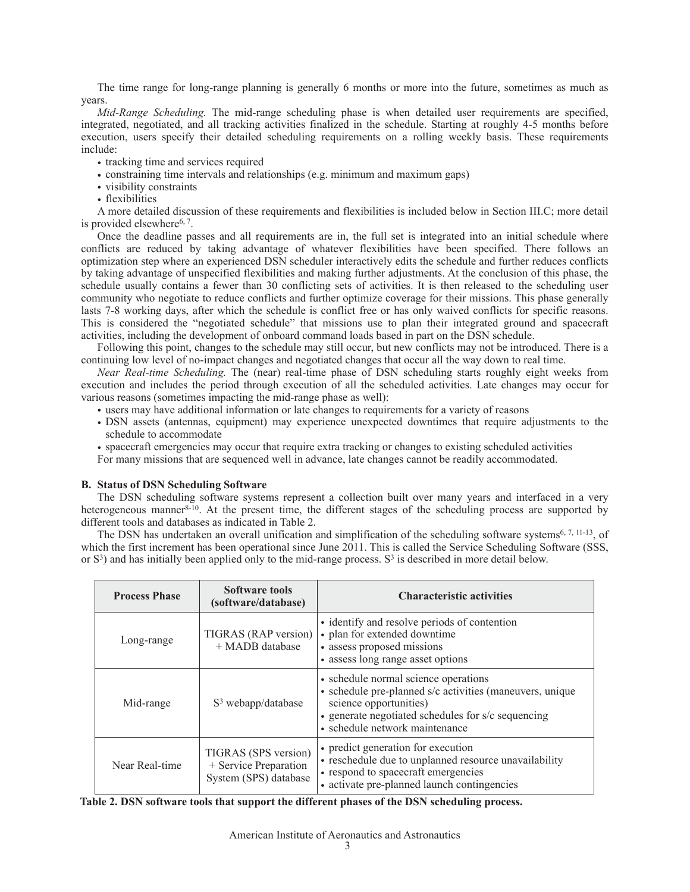The time range for long-range planning is generally 6 months or more into the future, sometimes as much as years.

*Mid-Range Scheduling.* The mid-range scheduling phase is when detailed user requirements are specified, integrated, negotiated, and all tracking activities finalized in the schedule. Starting at roughly 4-5 months before execution, users specify their detailed scheduling requirements on a rolling weekly basis. These requirements include:

- tracking time and services required
- constraining time intervals and relationships (e.g. minimum and maximum gaps)
- visibility constraints
- flexibilities

A more detailed discussion of these requirements and flexibilities is included below in Section III.C; more detail is provided elsewhere<sup>6, 7</sup>.

Once the deadline passes and all requirements are in, the full set is integrated into an initial schedule where conflicts are reduced by taking advantage of whatever flexibilities have been specified. There follows an optimization step where an experienced DSN scheduler interactively edits the schedule and further reduces conflicts by taking advantage of unspecified flexibilities and making further adjustments. At the conclusion of this phase, the schedule usually contains a fewer than 30 conflicting sets of activities. It is then released to the scheduling user community who negotiate to reduce conflicts and further optimize coverage for their missions. This phase generally lasts 7-8 working days, after which the schedule is conflict free or has only waived conflicts for specific reasons. This is considered the "negotiated schedule" that missions use to plan their integrated ground and spacecraft activities, including the development of onboard command loads based in part on the DSN schedule.

Following this point, changes to the schedule may still occur, but new conflicts may not be introduced. There is a continuing low level of no-impact changes and negotiated changes that occur all the way down to real time.

*Near Real-time Scheduling.* The (near) real-time phase of DSN scheduling starts roughly eight weeks from execution and includes the period through execution of all the scheduled activities. Late changes may occur for various reasons (sometimes impacting the mid-range phase as well):

- users may have additional information or late changes to requirements for a variety of reasons
- DSN assets (antennas, equipment) may experience unexpected downtimes that require adjustments to the schedule to accommodate
- spacecraft emergencies may occur that require extra tracking or changes to existing scheduled activities
- For many missions that are sequenced well in advance, late changes cannot be readily accommodated.

### **B. Status of DSN Scheduling Software**

The DSN scheduling software systems represent a collection built over many years and interfaced in a very heterogeneous manner<sup>8-10</sup>. At the present time, the different stages of the scheduling process are supported by different tools and databases as indicated in Table 2.

The DSN has undertaken an overall unification and simplification of the scheduling software systems<sup>6, 7, 11-13</sup>, of which the first increment has been operational since June 2011. This is called the Service Scheduling Software (SSS, or  $S<sup>3</sup>$ ) and has initially been applied only to the mid-range process.  $S<sup>3</sup>$  is described in more detail below.

| <b>Process Phase</b> | <b>Software tools</b><br>(software/database)                           | <b>Characteristic activities</b>                                                                                                                                                                                   |  |
|----------------------|------------------------------------------------------------------------|--------------------------------------------------------------------------------------------------------------------------------------------------------------------------------------------------------------------|--|
| Long-range           | TIGRAS (RAP version)<br>+ MADB database                                | • identify and resolve periods of contention<br>• plan for extended downtime<br>• assess proposed missions<br>• assess long range asset options                                                                    |  |
| Mid-range            | $S3$ webapp/database                                                   | • schedule normal science operations<br>• schedule pre-planned s/c activities (maneuvers, unique<br>science opportunities)<br>• generate negotiated schedules for s/c sequencing<br>· schedule network maintenance |  |
| Near Real-time       | TIGRAS (SPS version)<br>+ Service Preparation<br>System (SPS) database | • predict generation for execution<br>• reschedule due to unplanned resource unavailability<br>• respond to spacecraft emergencies<br>• activate pre-planned launch contingencies                                  |  |

**Table 2. DSN software tools that support the different phases of the DSN scheduling process.**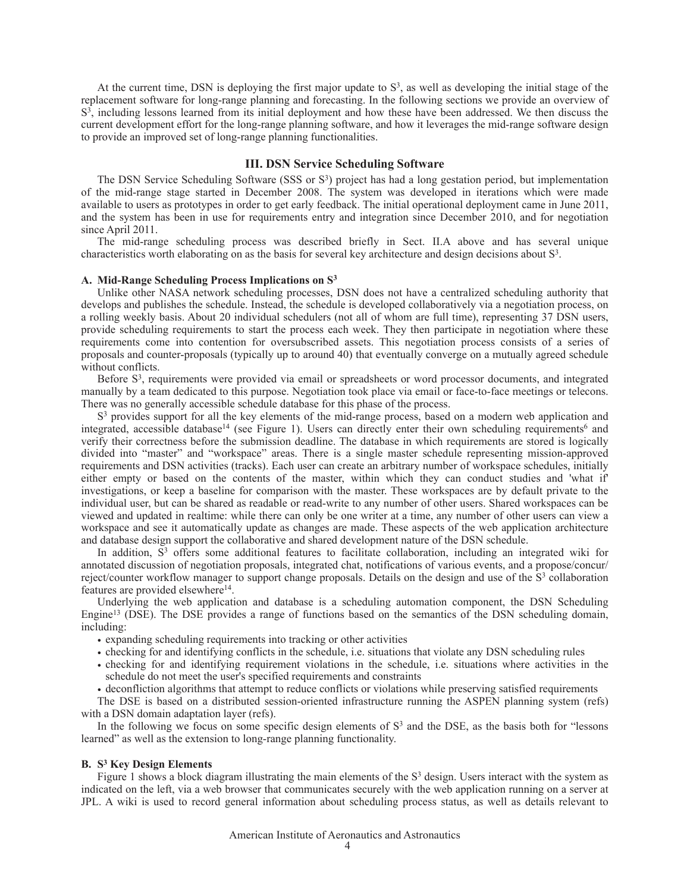At the current time, DSN is deploying the first major update to  $S<sup>3</sup>$ , as well as developing the initial stage of the replacement software for long-range planning and forecasting. In the following sections we provide an overview of  $S<sup>3</sup>$ , including lessons learned from its initial deployment and how these have been addressed. We then discuss the current development effort for the long-range planning software, and how it leverages the mid-range software design to provide an improved set of long-range planning functionalities.

## **III. DSN Service Scheduling Software**

The DSN Service Scheduling Software (SSS or S<sup>3</sup>) project has had a long gestation period, but implementation of the mid-range stage started in December 2008. The system was developed in iterations which were made available to users as prototypes in order to get early feedback. The initial operational deployment came in June 2011, and the system has been in use for requirements entry and integration since December 2010, and for negotiation since April 2011.

The mid-range scheduling process was described briefly in Sect. II.A above and has several unique characteristics worth elaborating on as the basis for several key architecture and design decisions about S3.

## **A. Mid-Range Scheduling Process Implications on S3**

Unlike other NASA network scheduling processes, DSN does not have a centralized scheduling authority that develops and publishes the schedule. Instead, the schedule is developed collaboratively via a negotiation process, on a rolling weekly basis. About 20 individual schedulers (not all of whom are full time), representing 37 DSN users, provide scheduling requirements to start the process each week. They then participate in negotiation where these requirements come into contention for oversubscribed assets. This negotiation process consists of a series of proposals and counter-proposals (typically up to around 40) that eventually converge on a mutually agreed schedule without conflicts.

Before S3, requirements were provided via email or spreadsheets or word processor documents, and integrated manually by a team dedicated to this purpose. Negotiation took place via email or face-to-face meetings or telecons. There was no generally accessible schedule database for this phase of the process.

 $S<sup>3</sup>$  provides support for all the key elements of the mid-range process, based on a modern web application and integrated, accessible database<sup>14</sup> (see Figure 1). Users can directly enter their own scheduling requirements<sup>6</sup> and verify their correctness before the submission deadline. The database in which requirements are stored is logically divided into "master" and "workspace" areas. There is a single master schedule representing mission-approved requirements and DSN activities (tracks). Each user can create an arbitrary number of workspace schedules, initially either empty or based on the contents of the master, within which they can conduct studies and 'what if' investigations, or keep a baseline for comparison with the master. These workspaces are by default private to the individual user, but can be shared as readable or read-write to any number of other users. Shared workspaces can be viewed and updated in realtime: while there can only be one writer at a time, any number of other users can view a workspace and see it automatically update as changes are made. These aspects of the web application architecture and database design support the collaborative and shared development nature of the DSN schedule.

In addition,  $S<sup>3</sup>$  offers some additional features to facilitate collaboration, including an integrated wiki for annotated discussion of negotiation proposals, integrated chat, notifications of various events, and a propose/concur/ reject/counter workflow manager to support change proposals. Details on the design and use of the  $S<sup>3</sup>$  collaboration features are provided elsewhere<sup>14</sup>.

Underlying the web application and database is a scheduling automation component, the DSN Scheduling Engine<sup>13</sup> (DSE). The DSE provides a range of functions based on the semantics of the DSN scheduling domain, including:

- expanding scheduling requirements into tracking or other activities
- checking for and identifying conflicts in the schedule, i.e. situations that violate any DSN scheduling rules
- checking for and identifying requirement violations in the schedule, i.e. situations where activities in the schedule do not meet the user's specified requirements and constraints
- deconfliction algorithms that attempt to reduce conflicts or violations while preserving satisfied requirements

The DSE is based on a distributed session-oriented infrastructure running the ASPEN planning system (refs) with a DSN domain adaptation layer (refs).

In the following we focus on some specific design elements of  $S<sup>3</sup>$  and the DSE, as the basis both for "lessons learned" as well as the extension to long-range planning functionality.

#### **B. S3 Key Design Elements**

Figure 1 shows a block diagram illustrating the main elements of the  $S<sup>3</sup>$  design. Users interact with the system as indicated on the left, via a web browser that communicates securely with the web application running on a server at JPL. A wiki is used to record general information about scheduling process status, as well as details relevant to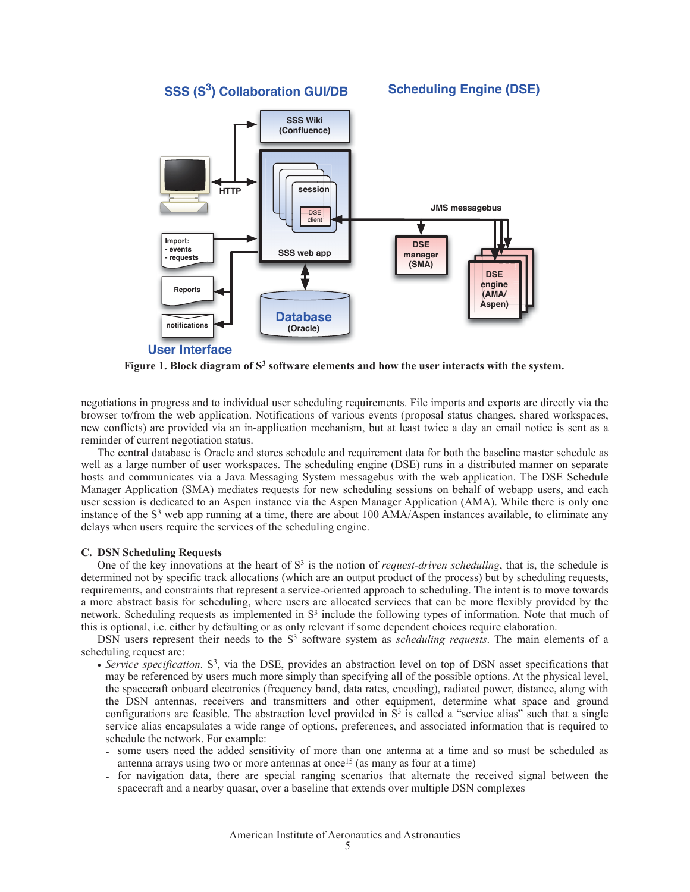

Figure 1. Block diagram of S<sup>3</sup> software elements and how the user interacts with the system.

negotiations in progress and to individual user scheduling requirements. File imports and exports are directly via the browser to/from the web application. Notifications of various events (proposal status changes, shared workspaces, new conflicts) are provided via an in-application mechanism, but at least twice a day an email notice is sent as a reminder of current negotiation status.

The central database is Oracle and stores schedule and requirement data for both the baseline master schedule as well as a large number of user workspaces. The scheduling engine (DSE) runs in a distributed manner on separate hosts and communicates via a Java Messaging System messagebus with the web application. The DSE Schedule Manager Application (SMA) mediates requests for new scheduling sessions on behalf of webapp users, and each user session is dedicated to an Aspen instance via the Aspen Manager Application (AMA). While there is only one instance of the  $S<sup>3</sup>$  web app running at a time, there are about 100 AMA/Aspen instances available, to eliminate any delays when users require the services of the scheduling engine.

### **C. DSN Scheduling Requests**

One of the key innovations at the heart of  $S<sup>3</sup>$  is the notion of *request-driven scheduling*, that is, the schedule is determined not by specific track allocations (which are an output product of the process) but by scheduling requests, requirements, and constraints that represent a service-oriented approach to scheduling. The intent is to move towards a more abstract basis for scheduling, where users are allocated services that can be more flexibly provided by the network. Scheduling requests as implemented in  $S<sup>3</sup>$  include the following types of information. Note that much of this is optional, i.e. either by defaulting or as only relevant if some dependent choices require elaboration.

DSN users represent their needs to the S<sup>3</sup> software system as *scheduling requests*. The main elements of a scheduling request are:

- *Service specification*. S<sup>3</sup>, via the DSE, provides an abstraction level on top of DSN asset specifications that may be referenced by users much more simply than specifying all of the possible options. At the physical level, the spacecraft onboard electronics (frequency band, data rates, encoding), radiated power, distance, along with the DSN antennas, receivers and transmitters and other equipment, determine what space and ground configurations are feasible. The abstraction level provided in  $S<sup>3</sup>$  is called a "service alias" such that a single service alias encapsulates a wide range of options, preferences, and associated information that is required to schedule the network. For example:
	- some users need the added sensitivity of more than one antenna at a time and so must be scheduled as antenna arrays using two or more antennas at once<sup>15</sup> (as many as four at a time)
	- for navigation data, there are special ranging scenarios that alternate the received signal between the spacecraft and a nearby quasar, over a baseline that extends over multiple DSN complexes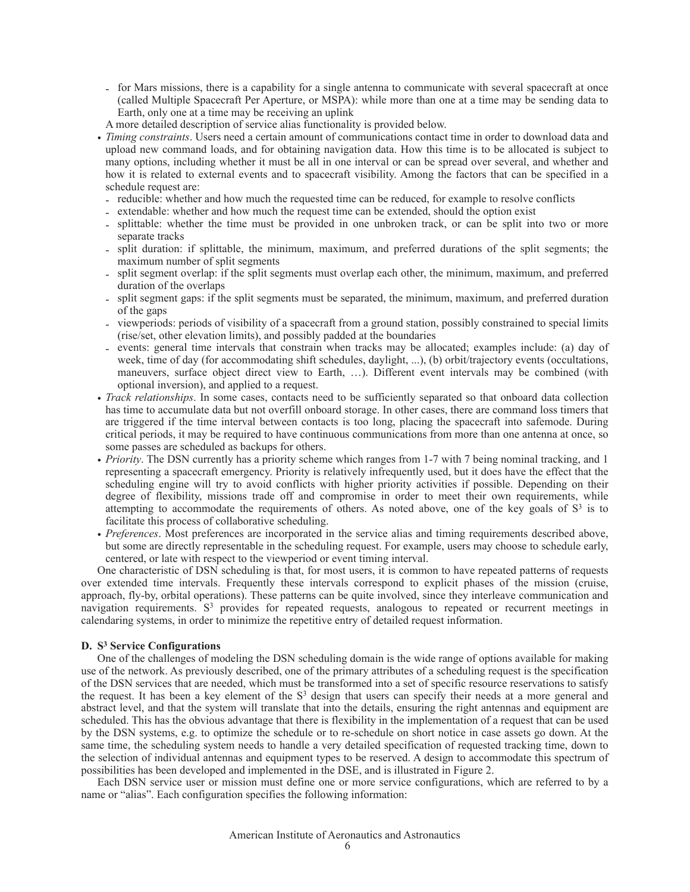- for Mars missions, there is a capability for a single antenna to communicate with several spacecraft at once (called Multiple Spacecraft Per Aperture, or MSPA): while more than one at a time may be sending data to Earth, only one at a time may be receiving an uplink
- A more detailed description of service alias functionality is provided below.

• *Timing constraints*. Users need a certain amount of communications contact time in order to download data and upload new command loads, and for obtaining navigation data. How this time is to be allocated is subject to many options, including whether it must be all in one interval or can be spread over several, and whether and how it is related to external events and to spacecraft visibility. Among the factors that can be specified in a schedule request are:

- reducible: whether and how much the requested time can be reduced, for example to resolve conflicts
- extendable: whether and how much the request time can be extended, should the option exist
- splittable: whether the time must be provided in one unbroken track, or can be split into two or more separate tracks
- split duration: if splittable, the minimum, maximum, and preferred durations of the split segments; the maximum number of split segments
- split segment overlap: if the split segments must overlap each other, the minimum, maximum, and preferred duration of the overlaps
- split segment gaps: if the split segments must be separated, the minimum, maximum, and preferred duration of the gaps
- viewperiods: periods of visibility of a spacecraft from a ground station, possibly constrained to special limits (rise/set, other elevation limits), and possibly padded at the boundaries
- events: general time intervals that constrain when tracks may be allocated; examples include: (a) day of week, time of day (for accommodating shift schedules, daylight, ...), (b) orbit/trajectory events (occultations, maneuvers, surface object direct view to Earth, …). Different event intervals may be combined (with optional inversion), and applied to a request.
- *Track relationships*. In some cases, contacts need to be sufficiently separated so that onboard data collection has time to accumulate data but not overfill onboard storage. In other cases, there are command loss timers that are triggered if the time interval between contacts is too long, placing the spacecraft into safemode. During critical periods, it may be required to have continuous communications from more than one antenna at once, so some passes are scheduled as backups for others.
- *Priority*. The DSN currently has a priority scheme which ranges from 1-7 with 7 being nominal tracking, and 1 representing a spacecraft emergency. Priority is relatively infrequently used, but it does have the effect that the scheduling engine will try to avoid conflicts with higher priority activities if possible. Depending on their degree of flexibility, missions trade off and compromise in order to meet their own requirements, while attempting to accommodate the requirements of others. As noted above, one of the key goals of  $S<sup>3</sup>$  is to facilitate this process of collaborative scheduling.
- *Preferences*. Most preferences are incorporated in the service alias and timing requirements described above, but some are directly representable in the scheduling request. For example, users may choose to schedule early, centered, or late with respect to the viewperiod or event timing interval.

One characteristic of DSN scheduling is that, for most users, it is common to have repeated patterns of requests over extended time intervals. Frequently these intervals correspond to explicit phases of the mission (cruise, approach, fly-by, orbital operations). These patterns can be quite involved, since they interleave communication and navigation requirements. S<sup>3</sup> provides for repeated requests, analogous to repeated or recurrent meetings in calendaring systems, in order to minimize the repetitive entry of detailed request information.

# **D. S3 Service Configurations**

One of the challenges of modeling the DSN scheduling domain is the wide range of options available for making use of the network. As previously described, one of the primary attributes of a scheduling request is the specification of the DSN services that are needed, which must be transformed into a set of specific resource reservations to satisfy the request. It has been a key element of the  $S<sup>3</sup>$  design that users can specify their needs at a more general and abstract level, and that the system will translate that into the details, ensuring the right antennas and equipment are scheduled. This has the obvious advantage that there is flexibility in the implementation of a request that can be used by the DSN systems, e.g. to optimize the schedule or to re-schedule on short notice in case assets go down. At the same time, the scheduling system needs to handle a very detailed specification of requested tracking time, down to the selection of individual antennas and equipment types to be reserved. A design to accommodate this spectrum of possibilities has been developed and implemented in the DSE, and is illustrated in Figure 2.

Each DSN service user or mission must define one or more service configurations, which are referred to by a name or "alias". Each configuration specifies the following information: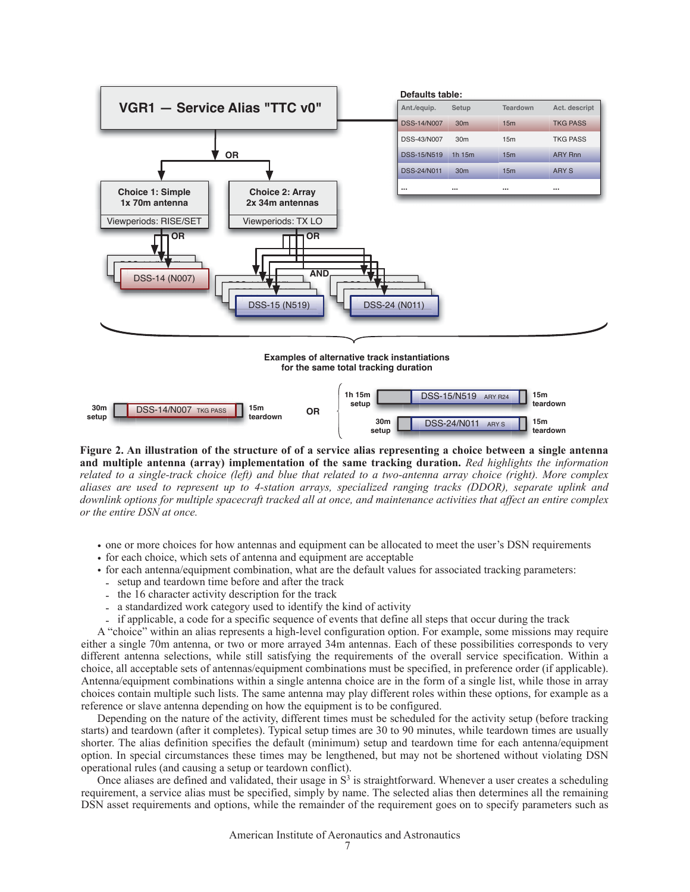

**Figure 2. An illustration of the structure of of a service alias representing a choice between a single antenna and multiple antenna (array) implementation of the same tracking duration.** *Red highlights the information related to a single-track choice (left) and blue that related to a two-antenna array choice (right). More complex aliases are used to represent up to 4-station arrays, specialized ranging tracks (DDOR), separate uplink and downlink options for multiple spacecraft tracked all at once, and maintenance activities that affect an entire complex or the entire DSN at once.*

- one or more choices for how antennas and equipment can be allocated to meet the user's DSN requirements
- for each choice, which sets of antenna and equipment are acceptable
- for each antenna/equipment combination, what are the default values for associated tracking parameters:
- setup and teardown time before and after the track
- the 16 character activity description for the track
- a standardized work category used to identify the kind of activity
- if applicable, a code for a specific sequence of events that define all steps that occur during the track

A "choice" within an alias represents a high-level configuration option. For example, some missions may require either a single 70m antenna, or two or more arrayed 34m antennas. Each of these possibilities corresponds to very different antenna selections, while still satisfying the requirements of the overall service specification. Within a choice, all acceptable sets of antennas/equipment combinations must be specified, in preference order (if applicable). Antenna/equipment combinations within a single antenna choice are in the form of a single list, while those in array choices contain multiple such lists. The same antenna may play different roles within these options, for example as a reference or slave antenna depending on how the equipment is to be configured.

Depending on the nature of the activity, different times must be scheduled for the activity setup (before tracking starts) and teardown (after it completes). Typical setup times are 30 to 90 minutes, while teardown times are usually shorter. The alias definition specifies the default (minimum) setup and teardown time for each antenna/equipment option. In special circumstances these times may be lengthened, but may not be shortened without violating DSN operational rules (and causing a setup or teardown conflict).

Once aliases are defined and validated, their usage in  $S<sup>3</sup>$  is straightforward. Whenever a user creates a scheduling requirement, a service alias must be specified, simply by name. The selected alias then determines all the remaining DSN asset requirements and options, while the remainder of the requirement goes on to specify parameters such as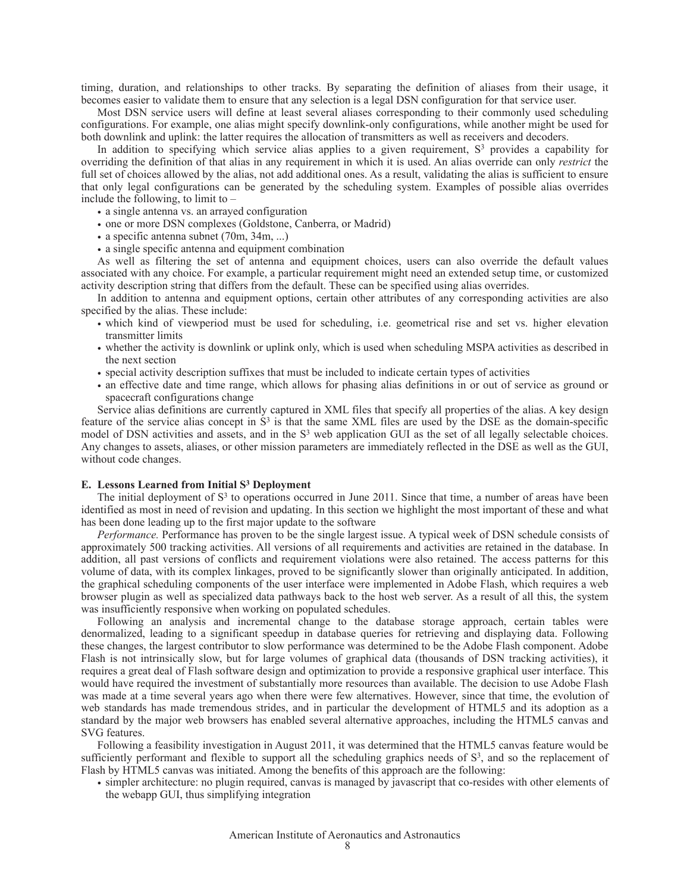timing, duration, and relationships to other tracks. By separating the definition of aliases from their usage, it becomes easier to validate them to ensure that any selection is a legal DSN configuration for that service user.

Most DSN service users will define at least several aliases corresponding to their commonly used scheduling configurations. For example, one alias might specify downlink-only configurations, while another might be used for both downlink and uplink: the latter requires the allocation of transmitters as well as receivers and decoders.

In addition to specifying which service alias applies to a given requirement,  $S<sup>3</sup>$  provides a capability for overriding the definition of that alias in any requirement in which it is used. An alias override can only *restrict* the full set of choices allowed by the alias, not add additional ones. As a result, validating the alias is sufficient to ensure that only legal configurations can be generated by the scheduling system. Examples of possible alias overrides include the following, to limit to –

- a single antenna vs. an arrayed configuration
- one or more DSN complexes (Goldstone, Canberra, or Madrid)
- a specific antenna subnet (70m, 34m, ...)
- a single specific antenna and equipment combination

As well as filtering the set of antenna and equipment choices, users can also override the default values associated with any choice. For example, a particular requirement might need an extended setup time, or customized activity description string that differs from the default. These can be specified using alias overrides.

In addition to antenna and equipment options, certain other attributes of any corresponding activities are also specified by the alias. These include:

- which kind of viewperiod must be used for scheduling, i.e. geometrical rise and set vs. higher elevation transmitter limits
- whether the activity is downlink or uplink only, which is used when scheduling MSPA activities as described in the next section
- special activity description suffixes that must be included to indicate certain types of activities
- an effective date and time range, which allows for phasing alias definitions in or out of service as ground or spacecraft configurations change

Service alias definitions are currently captured in XML files that specify all properties of the alias. A key design feature of the service alias concept in  $S<sup>3</sup>$  is that the same XML files are used by the DSE as the domain-specific model of DSN activities and assets, and in the  $S<sup>3</sup>$  web application GUI as the set of all legally selectable choices. Any changes to assets, aliases, or other mission parameters are immediately reflected in the DSE as well as the GUI, without code changes.

#### **E. Lessons Learned from Initial S3 Deployment**

The initial deployment of  $S<sup>3</sup>$  to operations occurred in June 2011. Since that time, a number of areas have been identified as most in need of revision and updating. In this section we highlight the most important of these and what has been done leading up to the first major update to the software

*Performance.* Performance has proven to be the single largest issue. A typical week of DSN schedule consists of approximately 500 tracking activities. All versions of all requirements and activities are retained in the database. In addition, all past versions of conflicts and requirement violations were also retained. The access patterns for this volume of data, with its complex linkages, proved to be significantly slower than originally anticipated. In addition, the graphical scheduling components of the user interface were implemented in Adobe Flash, which requires a web browser plugin as well as specialized data pathways back to the host web server. As a result of all this, the system was insufficiently responsive when working on populated schedules.

Following an analysis and incremental change to the database storage approach, certain tables were denormalized, leading to a significant speedup in database queries for retrieving and displaying data. Following these changes, the largest contributor to slow performance was determined to be the Adobe Flash component. Adobe Flash is not intrinsically slow, but for large volumes of graphical data (thousands of DSN tracking activities), it requires a great deal of Flash software design and optimization to provide a responsive graphical user interface. This would have required the investment of substantially more resources than available. The decision to use Adobe Flash was made at a time several years ago when there were few alternatives. However, since that time, the evolution of web standards has made tremendous strides, and in particular the development of HTML5 and its adoption as a standard by the major web browsers has enabled several alternative approaches, including the HTML5 canvas and SVG features.

Following a feasibility investigation in August 2011, it was determined that the HTML5 canvas feature would be sufficiently performant and flexible to support all the scheduling graphics needs of  $S<sup>3</sup>$ , and so the replacement of Flash by HTML5 canvas was initiated. Among the benefits of this approach are the following:

• simpler architecture: no plugin required, canvas is managed by javascript that co-resides with other elements of the webapp GUI, thus simplifying integration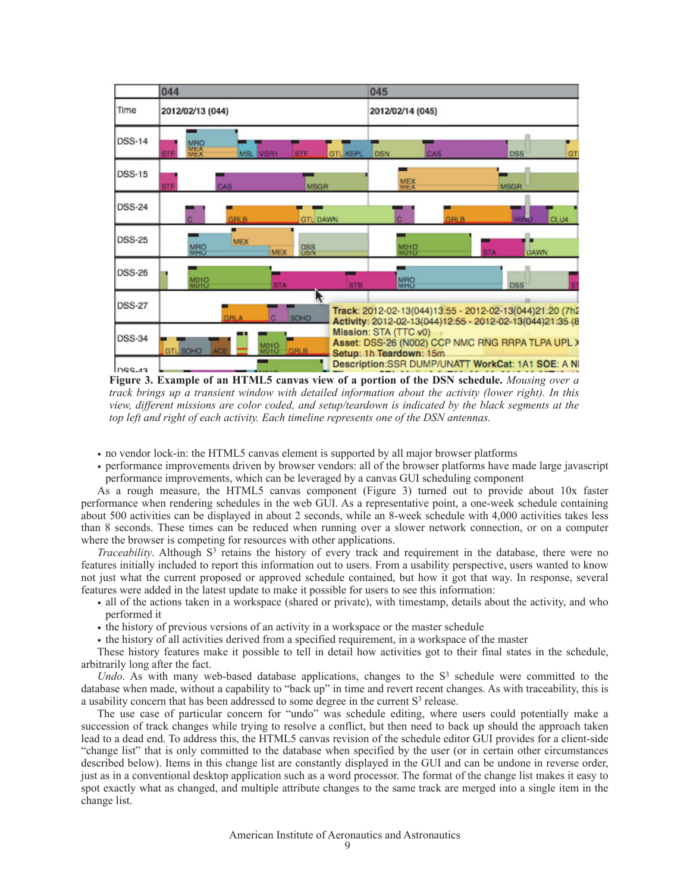

**Figure 3. Example of an HTML5 canvas view of a portion of the DSN schedule.** *Mousing over a track brings up a transient window with detailed information about the activity (lower right). In this view, different missions are color coded, and setup/teardown is indicated by the black segments at the top left and right of each activity. Each timeline represents one of the DSN antennas.*

- no vendor lock-in: the HTML5 canvas element is supported by all major browser platforms
- performance improvements driven by browser vendors: all of the browser platforms have made large javascript performance improvements, which can be leveraged by a canvas GUI scheduling component

As a rough measure, the HTML5 canvas component (Figure 3) turned out to provide about 10x faster performance when rendering schedules in the web GUI. As a representative point, a one-week schedule containing about 500 activities can be displayed in about 2 seconds, while an 8-week schedule with 4,000 activities takes less than 8 seconds. These times can be reduced when running over a slower network connection, or on a computer where the browser is competing for resources with other applications.

*Traceability*. Although S<sup>3</sup> retains the history of every track and requirement in the database, there were no features initially included to report this information out to users. From a usability perspective, users wanted to know not just what the current proposed or approved schedule contained, but how it got that way. In response, several features were added in the latest update to make it possible for users to see this information:

- all of the actions taken in a workspace (shared or private), with timestamp, details about the activity, and who performed it
- the history of previous versions of an activity in a workspace or the master schedule
- the history of all activities derived from a specified requirement, in a workspace of the master

These history features make it possible to tell in detail how activities got to their final states in the schedule, arbitrarily long after the fact.

*Undo*. As with many web-based database applications, changes to the  $S<sup>3</sup>$  schedule were committed to the database when made, without a capability to "back up" in time and revert recent changes. As with traceability, this is a usability concern that has been addressed to some degree in the current S<sup>3</sup> release.

The use case of particular concern for "undo" was schedule editing, where users could potentially make a succession of track changes while trying to resolve a conflict, but then need to back up should the approach taken lead to a dead end. To address this, the HTML5 canvas revision of the schedule editor GUI provides for a client-side "change list" that is only committed to the database when specified by the user (or in certain other circumstances described below). Items in this change list are constantly displayed in the GUI and can be undone in reverse order, just as in a conventional desktop application such as a word processor. The format of the change list makes it easy to spot exactly what as changed, and multiple attribute changes to the same track are merged into a single item in the change list.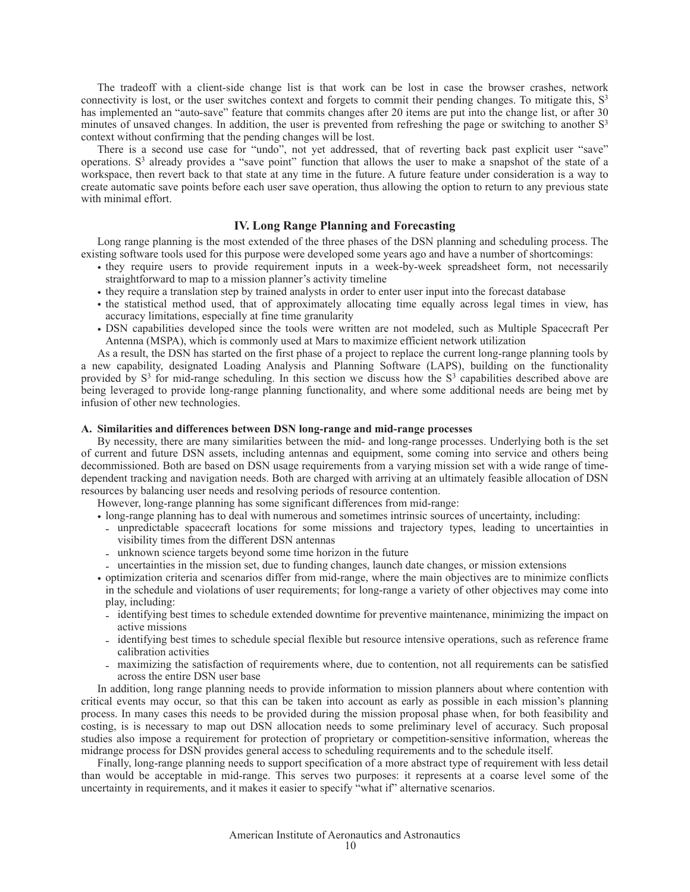The tradeoff with a client-side change list is that work can be lost in case the browser crashes, network connectivity is lost, or the user switches context and forgets to commit their pending changes. To mitigate this,  $S<sup>3</sup>$ has implemented an "auto-save" feature that commits changes after 20 items are put into the change list, or after 30 minutes of unsaved changes. In addition, the user is prevented from refreshing the page or switching to another  $S<sup>3</sup>$ context without confirming that the pending changes will be lost.

There is a second use case for "undo", not yet addressed, that of reverting back past explicit user "save" operations. S<sup>3</sup> already provides a "save point" function that allows the user to make a snapshot of the state of a workspace, then revert back to that state at any time in the future. A future feature under consideration is a way to create automatic save points before each user save operation, thus allowing the option to return to any previous state with minimal effort.

# **IV. Long Range Planning and Forecasting**

Long range planning is the most extended of the three phases of the DSN planning and scheduling process. The existing software tools used for this purpose were developed some years ago and have a number of shortcomings:

- they require users to provide requirement inputs in a week-by-week spreadsheet form, not necessarily straightforward to map to a mission planner's activity timeline
- they require a translation step by trained analysts in order to enter user input into the forecast database
- the statistical method used, that of approximately allocating time equally across legal times in view, has accuracy limitations, especially at fine time granularity
- DSN capabilities developed since the tools were written are not modeled, such as Multiple Spacecraft Per Antenna (MSPA), which is commonly used at Mars to maximize efficient network utilization

As a result, the DSN has started on the first phase of a project to replace the current long-range planning tools by a new capability, designated Loading Analysis and Planning Software (LAPS), building on the functionality provided by  $S<sup>3</sup>$  for mid-range scheduling. In this section we discuss how the  $S<sup>3</sup>$  capabilities described above are being leveraged to provide long-range planning functionality, and where some additional needs are being met by infusion of other new technologies.

#### **A. Similarities and differences between DSN long-range and mid-range processes**

By necessity, there are many similarities between the mid- and long-range processes. Underlying both is the set of current and future DSN assets, including antennas and equipment, some coming into service and others being decommissioned. Both are based on DSN usage requirements from a varying mission set with a wide range of timedependent tracking and navigation needs. Both are charged with arriving at an ultimately feasible allocation of DSN resources by balancing user needs and resolving periods of resource contention.

However, long-range planning has some significant differences from mid-range:

- long-range planning has to deal with numerous and sometimes intrinsic sources of uncertainty, including:
- unpredictable spacecraft locations for some missions and trajectory types, leading to uncertainties in visibility times from the different DSN antennas
- unknown science targets beyond some time horizon in the future
- uncertainties in the mission set, due to funding changes, launch date changes, or mission extensions
- optimization criteria and scenarios differ from mid-range, where the main objectives are to minimize conflicts in the schedule and violations of user requirements; for long-range a variety of other objectives may come into play, including:
	- identifying best times to schedule extended downtime for preventive maintenance, minimizing the impact on active missions
	- identifying best times to schedule special flexible but resource intensive operations, such as reference frame calibration activities
	- maximizing the satisfaction of requirements where, due to contention, not all requirements can be satisfied across the entire DSN user base

In addition, long range planning needs to provide information to mission planners about where contention with critical events may occur, so that this can be taken into account as early as possible in each mission's planning process. In many cases this needs to be provided during the mission proposal phase when, for both feasibility and costing, is is necessary to map out DSN allocation needs to some preliminary level of accuracy. Such proposal studies also impose a requirement for protection of proprietary or competition-sensitive information, whereas the midrange process for DSN provides general access to scheduling requirements and to the schedule itself.

Finally, long-range planning needs to support specification of a more abstract type of requirement with less detail than would be acceptable in mid-range. This serves two purposes: it represents at a coarse level some of the uncertainty in requirements, and it makes it easier to specify "what if" alternative scenarios.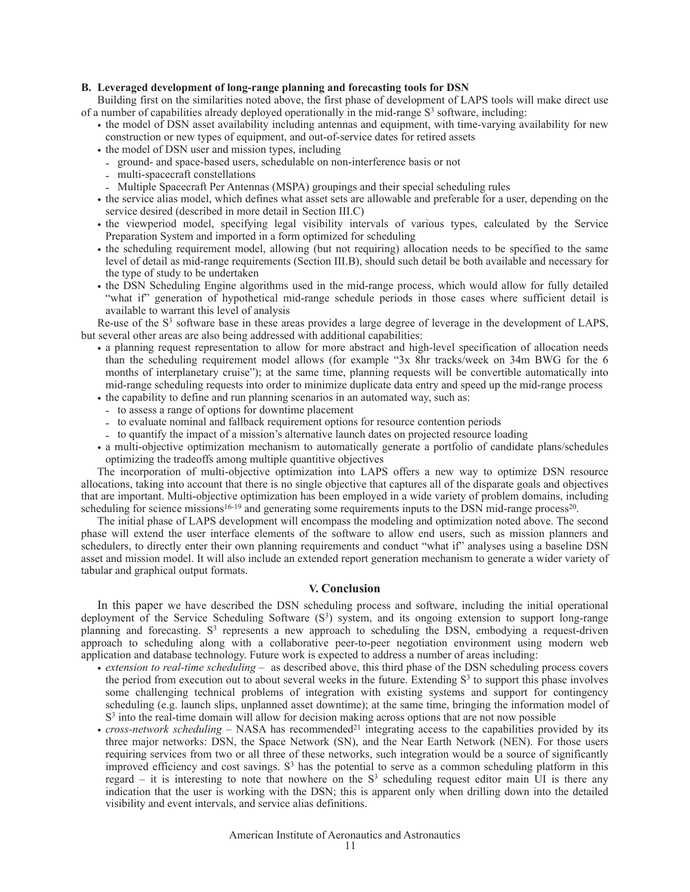# **B. Leveraged development of long-range planning and forecasting tools for DSN**

Building first on the similarities noted above, the first phase of development of LAPS tools will make direct use of a number of capabilities already deployed operationally in the mid-range  $S<sup>3</sup>$  software, including:

- the model of DSN asset availability including antennas and equipment, with time-varying availability for new construction or new types of equipment, and out-of-service dates for retired assets
- the model of DSN user and mission types, including
- ground- and space-based users, schedulable on non-interference basis or not
- multi-spacecraft constellations
- Multiple Spacecraft Per Antennas (MSPA) groupings and their special scheduling rules
- the service alias model, which defines what asset sets are allowable and preferable for a user, depending on the service desired (described in more detail in Section III.C)
- the viewperiod model, specifying legal visibility intervals of various types, calculated by the Service Preparation System and imported in a form optimized for scheduling
- the scheduling requirement model, allowing (but not requiring) allocation needs to be specified to the same level of detail as mid-range requirements (Section III.B), should such detail be both available and necessary for the type of study to be undertaken
- the DSN Scheduling Engine algorithms used in the mid-range process, which would allow for fully detailed "what if" generation of hypothetical mid-range schedule periods in those cases where sufficient detail is available to warrant this level of analysis

Re-use of the S<sup>3</sup> software base in these areas provides a large degree of leverage in the development of LAPS, but several other areas are also being addressed with additional capabilities:

- a planning request representation to allow for more abstract and high-level specification of allocation needs than the scheduling requirement model allows (for example "3x 8hr tracks/week on 34m BWG for the 6 months of interplanetary cruise"); at the same time, planning requests will be convertible automatically into mid-range scheduling requests into order to minimize duplicate data entry and speed up the mid-range process
- the capability to define and run planning scenarios in an automated way, such as:
	- to assess a range of options for downtime placement
	- to evaluate nominal and fallback requirement options for resource contention periods
	- to quantify the impact of a mission's alternative launch dates on projected resource loading
- a multi-objective optimization mechanism to automatically generate a portfolio of candidate plans/schedules optimizing the tradeoffs among multiple quantitive objectives

The incorporation of multi-objective optimization into LAPS offers a new way to optimize DSN resource allocations, taking into account that there is no single objective that captures all of the disparate goals and objectives that are important. Multi-objective optimization has been employed in a wide variety of problem domains, including scheduling for science missions<sup>16-19</sup> and generating some requirements inputs to the DSN mid-range process<sup>20</sup>.

The initial phase of LAPS development will encompass the modeling and optimization noted above. The second phase will extend the user interface elements of the software to allow end users, such as mission planners and schedulers, to directly enter their own planning requirements and conduct "what if" analyses using a baseline DSN asset and mission model. It will also include an extended report generation mechanism to generate a wider variety of tabular and graphical output formats.

# **V. Conclusion**

In this paper we have described the DSN scheduling process and software, including the initial operational deployment of the Service Scheduling Software  $(S<sup>3</sup>)$  system, and its ongoing extension to support long-range planning and forecasting.  $S<sup>3</sup>$  represents a new approach to scheduling the DSN, embodying a request-driven approach to scheduling along with a collaborative peer-to-peer negotiation environment using modern web application and database technology. Future work is expected to address a number of areas including:

- *extension to real-time scheduling* as described above, this third phase of the DSN scheduling process covers the period from execution out to about several weeks in the future. Extending  $S<sup>3</sup>$  to support this phase involves some challenging technical problems of integration with existing systems and support for contingency scheduling (e.g. launch slips, unplanned asset downtime); at the same time, bringing the information model of  $S<sup>3</sup>$  into the real-time domain will allow for decision making across options that are not now possible
- *cross-network scheduling* NASA has recommended<sup>21</sup> integrating access to the capabilities provided by its three major networks: DSN, the Space Network (SN), and the Near Earth Network (NEN). For those users requiring services from two or all three of these networks, such integration would be a source of significantly improved efficiency and cost savings.  $S<sup>3</sup>$  has the potential to serve as a common scheduling platform in this regard – it is interesting to note that nowhere on the  $S<sup>3</sup>$  scheduling request editor main UI is there any indication that the user is working with the DSN; this is apparent only when drilling down into the detailed visibility and event intervals, and service alias definitions.